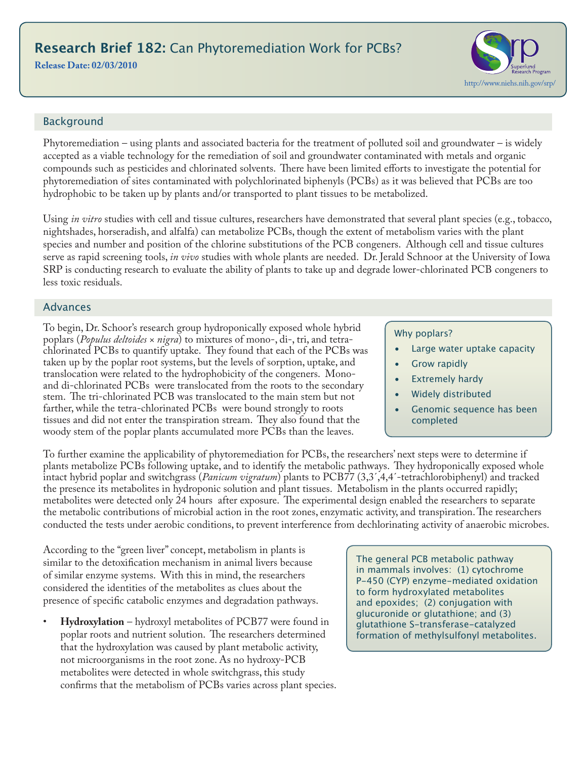# **Research Brief 182:** Can Phytoremediation Work for PCBs?

#### **Release Date: 02/03/2010**

# http://www.niehs.nih.gov/srp/

## Background

Phytoremediation – using plants and associated bacteria for the treatment of polluted soil and groundwater – is widely accepted as a viable technology for the remediation of soil and groundwater contaminated with metals and organic compounds such as pesticides and chlorinated solvents. There have been limited efforts to investigate the potential for phytoremediation of sites contaminated with polychlorinated biphenyls (PCBs) as it was believed that PCBs are too hydrophobic to be taken up by plants and/or transported to plant tissues to be metabolized.

Using *in vitro* studies with cell and tissue cultures, researchers have demonstrated that several plant species (e.g., tobacco, nightshades, horseradish, and alfalfa) can metabolize PCBs, though the extent of metabolism varies with the plant species and number and position of the chlorine substitutions of the PCB congeners. Although cell and tissue cultures serve as rapid screening tools, *in vivo* studies with whole plants are needed. Dr. Jerald Schnoor at the University of Iowa SRP is conducting research to evaluate the ability of plants to take up and degrade lower-chlorinated PCB congeners to less toxic residuals.

#### Advances

To begin, Dr. Schoor's research group hydroponically exposed whole hybrid poplars (*Populus deltoides × nigra*) to mixtures of mono-, di-, tri, and tetrachlorinated PCBs to quantify uptake. They found that each of the PCBs was taken up by the poplar root systems, but the levels of sorption, uptake, and translocation were related to the hydrophobicity of the congeners. Monoand di-chlorinated PCBs were translocated from the roots to the secondary stem. The tri-chlorinated PCB was translocated to the main stem but not farther, while the tetra-chlorinated PCBs were bound strongly to roots tissues and did not enter the transpiration stream. They also found that the woody stem of the poplar plants accumulated more PCBs than the leaves.

#### Why poplars?

- Large water uptake capacity
- Grow rapidly
- **Extremely hardy**
- Widely distributed
- Genomic sequence has been completed

To further examine the applicability of phytoremediation for PCBs, the researchers' next steps were to determine if plants metabolize PCBs following uptake, and to identify the metabolic pathways. They hydroponically exposed whole intact hybrid poplar and switchgrass (*Panicum vigratum*) plants to PCB77 (3,3΄,4,4΄-tetrachlorobiphenyl) and tracked the presence its metabolites in hydroponic solution and plant tissues. Metabolism in the plants occurred rapidly; metabolites were detected only 24 hours after exposure. The experimental design enabled the researchers to separate the metabolic contributions of microbial action in the root zones, enzymatic activity, and transpiration. The researchers conducted the tests under aerobic conditions, to prevent interference from dechlorinating activity of anaerobic microbes.

According to the "green liver" concept, metabolism in plants is similar to the detoxification mechanism in animal livers because of similar enzyme systems. With this in mind, the researchers considered the identities of the metabolites as clues about the presence of specific catabolic enzymes and degradation pathways.

• **Hydroxylation** – hydroxyl metabolites of PCB77 were found in poplar roots and nutrient solution. The researchers determined that the hydroxylation was caused by plant metabolic activity, not microorganisms in the root zone. As no hydroxy-PCB metabolites were detected in whole switchgrass, this study confirms that the metabolism of PCBs varies across plant species. The general PCB metabolic pathway in mammals involves: (1) cytochrome P-450 (CYP) enzyme-mediated oxidation to form hydroxylated metabolites and epoxides; (2) conjugation with glucuronide or glutathione; and (3) glutathione S-transferase-catalyzed formation of methylsulfonyl metabolites.